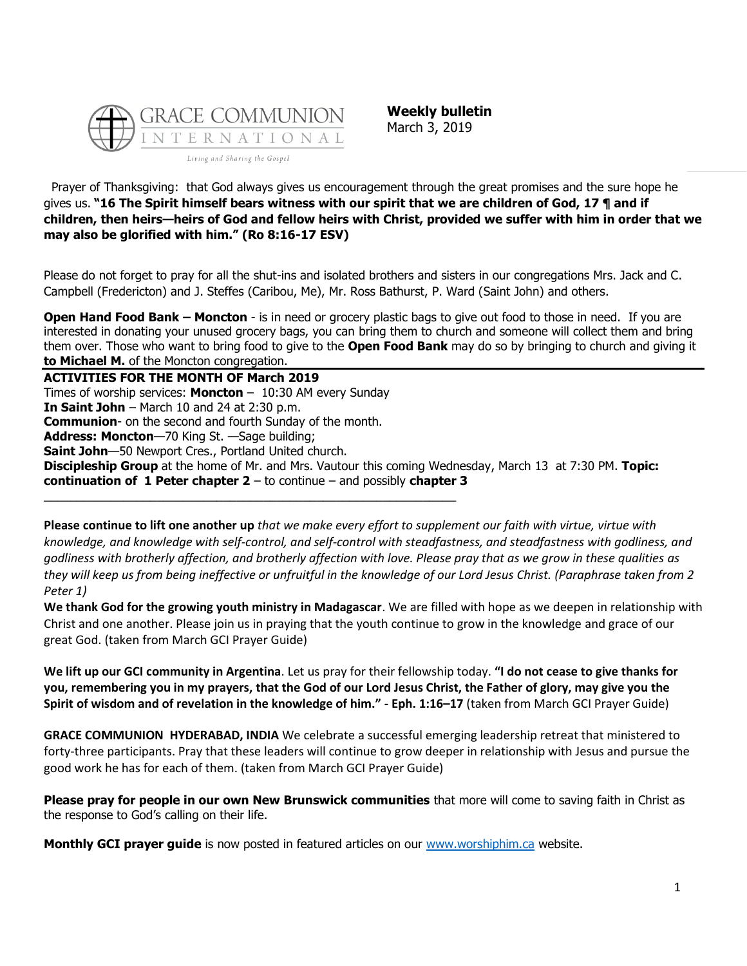

**Weekly bulletin** March 3, 2019

Prayer of Thanksgiving: that God always gives us encouragement through the great promises and the sure hope he gives us. **"16 The Spirit himself bears witness with our spirit that we are children of God, 17 ¶ and if children, then heirs—heirs of God and fellow heirs with Christ, provided we suffer with him in order that we may also be glorified with him." (Ro 8:16-17 ESV)**

Please do not forget to pray for all the shut-ins and isolated brothers and sisters in our congregations Mrs. Jack and C. Campbell (Fredericton) and J. Steffes (Caribou, Me), Mr. Ross Bathurst, P. Ward (Saint John) and others.

**Open Hand Food Bank – Moncton** - is in need or grocery plastic bags to give out food to those in need. If you are interested in donating your unused grocery bags, you can bring them to church and someone will collect them and bring them over. Those who want to bring food to give to the **Open Food Bank** may do so by bringing to church and giving it **to Michael M.** of the Moncton congregation.

**ACTIVITIES FOR THE MONTH OF March 2019** Times of worship services: **Moncton** – 10:30 AM every Sunday **In Saint John** – March 10 and 24 at 2:30 p.m. **Communion**- on the second and fourth Sunday of the month. **Address: Moncton**—70 King St. —Sage building; **Saint John**—50 Newport Cres., Portland United church. **Discipleship Group** at the home of Mr. and Mrs. Vautour this coming Wednesday, March 13 at 7:30 PM. **Topic: continuation of 1 Peter chapter 2** – to continue – and possibly **chapter 3** \_\_\_\_\_\_\_\_\_\_\_\_\_\_\_\_\_\_\_\_\_\_\_\_\_\_\_\_\_\_\_\_\_\_\_\_\_\_\_\_\_\_\_\_\_\_\_\_\_\_\_\_\_\_\_\_\_\_\_\_\_\_

**Please continue to lift one another up** *that we make every effort to supplement our faith with virtue, virtue with knowledge, and knowledge with self-control, and self-control with steadfastness, and steadfastness with godliness, and godliness with brotherly affection, and brotherly affection with love. Please pray that as we grow in these qualities as they will keep us from being ineffective or unfruitful in the knowledge of our Lord Jesus Christ. (Paraphrase taken from 2 Peter 1)*

**We thank God for the growing youth ministry in Madagascar**. We are filled with hope as we deepen in relationship with Christ and one another. Please join us in praying that the youth continue to grow in the knowledge and grace of our great God. (taken from March GCI Prayer Guide)

**We lift up our GCI community in Argentina**. Let us pray for their fellowship today. **"I do not cease to give thanks for you, remembering you in my prayers, that the God of our Lord Jesus Christ, the Father of glory, may give you the Spirit of wisdom and of revelation in the knowledge of him." - Eph. 1:16–17** (taken from March GCI Prayer Guide)

**GRACE COMMUNION HYDERABAD, INDIA** We celebrate a successful emerging leadership retreat that ministered to forty-three participants. Pray that these leaders will continue to grow deeper in relationship with Jesus and pursue the good work he has for each of them. (taken from March GCI Prayer Guide)

**Please pray for people in our own New Brunswick communities** that more will come to saving faith in Christ as the response to God's calling on their life.

**Monthly GCI prayer guide** is now posted in featured articles on our [www.worshiphim.ca](http://www.worshiphim.ca/) website.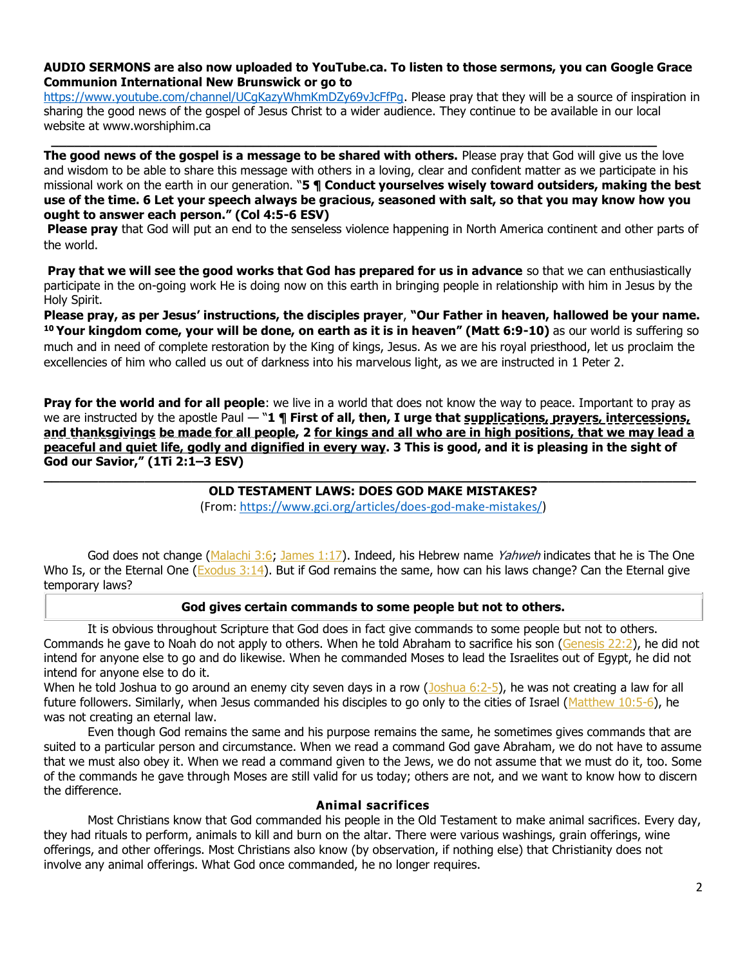# **AUDIO SERMONS are also now uploaded to YouTube.ca. To listen to those sermons, you can Google Grace Communion International New Brunswick or go to**

https://www.youtube.com/channel/UCqKazyWhmKmDZy69vJcFfPq. Please pray that they will be a source of inspiration in sharing the good news of the gospel of Jesus Christ to a wider audience. They continue to be available in our local website at www.worshiphim.ca

**\_\_\_\_\_\_\_\_\_\_\_\_\_\_\_\_\_\_\_\_\_\_\_\_\_\_\_\_\_\_\_\_\_\_\_\_\_\_\_\_\_\_\_\_\_\_\_\_\_\_\_\_\_\_\_\_\_\_\_\_\_\_\_\_\_\_\_\_\_\_\_\_\_\_\_\_\_\_**

**The good news of the gospel is a message to be shared with others.** Please pray that God will give us the love and wisdom to be able to share this message with others in a loving, clear and confident matter as we participate in his missional work on the earth in our generation. "**5 ¶ Conduct yourselves wisely toward outsiders, making the best use of the time. 6 Let your speech always be gracious, seasoned with salt, so that you may know how you ought to answer each person." (Col 4:5-6 ESV)**

**Please pray** that God will put an end to the senseless violence happening in North America continent and other parts of the world.

**Pray that we will see the good works that God has prepared for us in advance** so that we can enthusiastically participate in the on-going work He is doing now on this earth in bringing people in relationship with him in Jesus by the Holy Spirit.

**Please pray, as per Jesus' instructions, the disciples prayer**, **"Our Father in heaven, hallowed be your name. <sup>10</sup> Your kingdom come, your will be done, on earth as it is in heaven" (Matt 6:9-10)** as our world is suffering so much and in need of complete restoration by the King of kings, Jesus. As we are his royal priesthood, let us proclaim the excellencies of him who called us out of darkness into his marvelous light, as we are instructed in 1 Peter 2.

**Pray for the world and for all people**: we live in a world that does not know the way to peace. Important to pray as we are instructed by the apostle Paul — "**1 ¶ First of all, then, I urge that supplications, prayers, intercessions, and thanksgivings be made for all people, 2 for kings and all who are in high positions, that we may lead a peaceful and quiet life, godly and dignified in every way. 3 This is good, and it is pleasing in the sight of God our Savior," (1Ti 2:1–3 ESV) \_\_\_\_\_\_\_\_\_\_\_\_\_\_\_\_\_\_\_\_\_\_\_\_\_\_\_\_\_\_\_\_\_\_\_\_\_\_\_\_\_\_\_\_\_\_\_\_\_\_\_\_\_\_\_\_\_\_\_\_\_\_\_\_\_\_\_\_\_\_\_\_\_\_\_\_\_\_\_\_\_\_\_\_**

# **OLD TESTAMENT LAWS: DOES GOD MAKE MISTAKES?**

(From: [https://www.gci.org/articles/does-god-make-mistakes/\)](https://www.gci.org/articles/does-god-make-mistakes/)

God does not change [\(Malachi 3:6;](https://biblia.com/bible/niv/Mal%203.6) [James 1:17\)](https://biblia.com/bible/niv/James%201.17). Indeed, his Hebrew name Yahweh indicates that he is The One Who Is, or the Eternal One (Exodus  $3:14$ ). But if God remains the same, how can his laws change? Can the Eternal give temporary laws?

### **God gives certain commands to some people but not to others.**

It is obvious throughout Scripture that God does in fact give commands to some people but not to others. Commands he gave to Noah do not apply to others. When he told Abraham to sacrifice his son [\(Genesis 22:2\)](https://biblia.com/bible/niv/Gen%2022.2), he did not intend for anyone else to go and do likewise. When he commanded Moses to lead the Israelites out of Egypt, he did not intend for anyone else to do it.

When he told Joshua to go around an enemy city seven days in a row  $(Joshua 6:2-5)$ , he was not creating a law for all future followers. Similarly, when Jesus commanded his disciples to go only to the cities of Israel [\(Matthew 10:5-6\)](https://biblia.com/bible/niv/Matt%2010.5-6), he was not creating an eternal law.

Even though God remains the same and his purpose remains the same, he sometimes gives commands that are suited to a particular person and circumstance. When we read a command God gave Abraham, we do not have to assume that we must also obey it. When we read a command given to the Jews, we do not assume that we must do it, too. Some of the commands he gave through Moses are still valid for us today; others are not, and we want to know how to discern the difference.

### **Animal sacrifices**

Most Christians know that God commanded his people in the Old Testament to make animal sacrifices. Every day, they had rituals to perform, animals to kill and burn on the altar. There were various washings, grain offerings, wine offerings, and other offerings. Most Christians also know (by observation, if nothing else) that Christianity does not involve any animal offerings. What God once commanded, he no longer requires.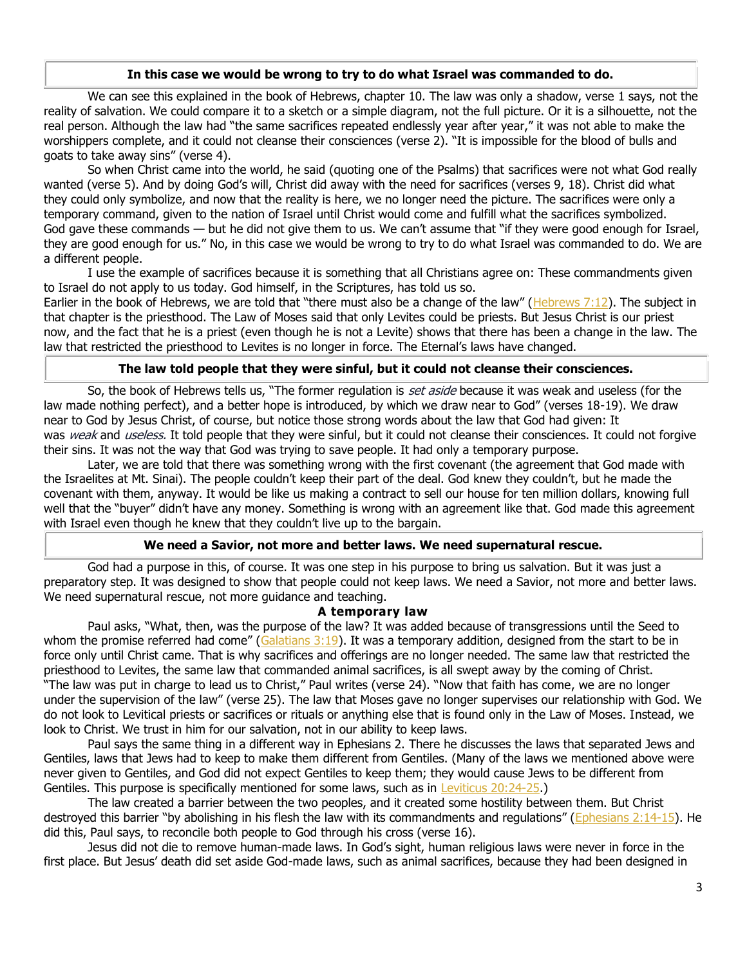#### **In this case we would be wrong to try to do what Israel was commanded to do.**

We can see this explained in the book of Hebrews, chapter 10. The law was only a shadow, verse 1 says, not the reality of salvation. We could compare it to a sketch or a simple diagram, not the full picture. Or it is a silhouette, not the real person. Although the law had "the same sacrifices repeated endlessly year after year," it was not able to make the worshippers complete, and it could not cleanse their consciences (verse 2). "It is impossible for the blood of bulls and goats to take away sins" (verse 4).

So when Christ came into the world, he said (quoting one of the Psalms) that sacrifices were not what God really wanted (verse 5). And by doing God's will, Christ did away with the need for sacrifices (verses 9, 18). Christ did what they could only symbolize, and now that the reality is here, we no longer need the picture. The sacrifices were only a temporary command, given to the nation of Israel until Christ would come and fulfill what the sacrifices symbolized. God gave these commands — but he did not give them to us. We can't assume that "if they were good enough for Israel, they are good enough for us." No, in this case we would be wrong to try to do what Israel was commanded to do. We are a different people.

I use the example of sacrifices because it is something that all Christians agree on: These commandments given to Israel do not apply to us today. God himself, in the Scriptures, has told us so.

Earlier in the book of Hebrews, we are told that "there must also be a change of the law" ( $Hebrews$ , 7:12). The subject in that chapter is the priesthood. The Law of Moses said that only Levites could be priests. But Jesus Christ is our priest now, and the fact that he is a priest (even though he is not a Levite) shows that there has been a change in the law. The law that restricted the priesthood to Levites is no longer in force. The Eternal's laws have changed.

# **The law told people that they were sinful, but it could not cleanse their consciences.**

So, the book of Hebrews tells us, "The former regulation is set aside because it was weak and useless (for the law made nothing perfect), and a better hope is introduced, by which we draw near to God" (verses 18-19). We draw near to God by Jesus Christ, of course, but notice those strong words about the law that God had given: It was weak and useless. It told people that they were sinful, but it could not cleanse their consciences. It could not forgive their sins. It was not the way that God was trying to save people. It had only a temporary purpose.

Later, we are told that there was something wrong with the first covenant (the agreement that God made with the Israelites at Mt. Sinai). The people couldn't keep their part of the deal. God knew they couldn't, but he made the covenant with them, anyway. It would be like us making a contract to sell our house for ten million dollars, knowing full well that the "buyer" didn't have any money. Something is wrong with an agreement like that. God made this agreement with Israel even though he knew that they couldn't live up to the bargain.

### **We need a Savior, not more and better laws. We need supernatural rescue.**

God had a purpose in this, of course. It was one step in his purpose to bring us salvation. But it was just a preparatory step. It was designed to show that people could not keep laws. We need a Savior, not more and better laws. We need supernatural rescue, not more guidance and teaching.

### **A temporary law**

Paul asks, "What, then, was the purpose of the law? It was added because of transgressions until the Seed to whom the promise referred had come" ( $Galatians 3:19$ ). It was a temporary addition, designed from the start to be in force only until Christ came. That is why sacrifices and offerings are no longer needed. The same law that restricted the priesthood to Levites, the same law that commanded animal sacrifices, is all swept away by the coming of Christ. "The law was put in charge to lead us to Christ," Paul writes (verse 24). "Now that faith has come, we are no longer under the supervision of the law" (verse 25). The law that Moses gave no longer supervises our relationship with God. We do not look to Levitical priests or sacrifices or rituals or anything else that is found only in the Law of Moses. Instead, we look to Christ. We trust in him for our salvation, not in our ability to keep laws.

Paul says the same thing in a different way in Ephesians 2. There he discusses the laws that separated Jews and Gentiles, laws that Jews had to keep to make them different from Gentiles. (Many of the laws we mentioned above were never given to Gentiles, and God did not expect Gentiles to keep them; they would cause Jews to be different from Gentiles. This purpose is specifically mentioned for some laws, such as in [Leviticus 20:24-25.](https://biblia.com/bible/niv/Lev%2020.24-25))

The law created a barrier between the two peoples, and it created some hostility between them. But Christ destroyed this barrier "by abolishing in his flesh the law with its commandments and regulations" ([Ephesians 2:14-15\)](https://biblia.com/bible/niv/Eph%202.14-15). He did this, Paul says, to reconcile both people to God through his cross (verse 16).

Jesus did not die to remove human-made laws. In God's sight, human religious laws were never in force in the first place. But Jesus' death did set aside God-made laws, such as animal sacrifices, because they had been designed in